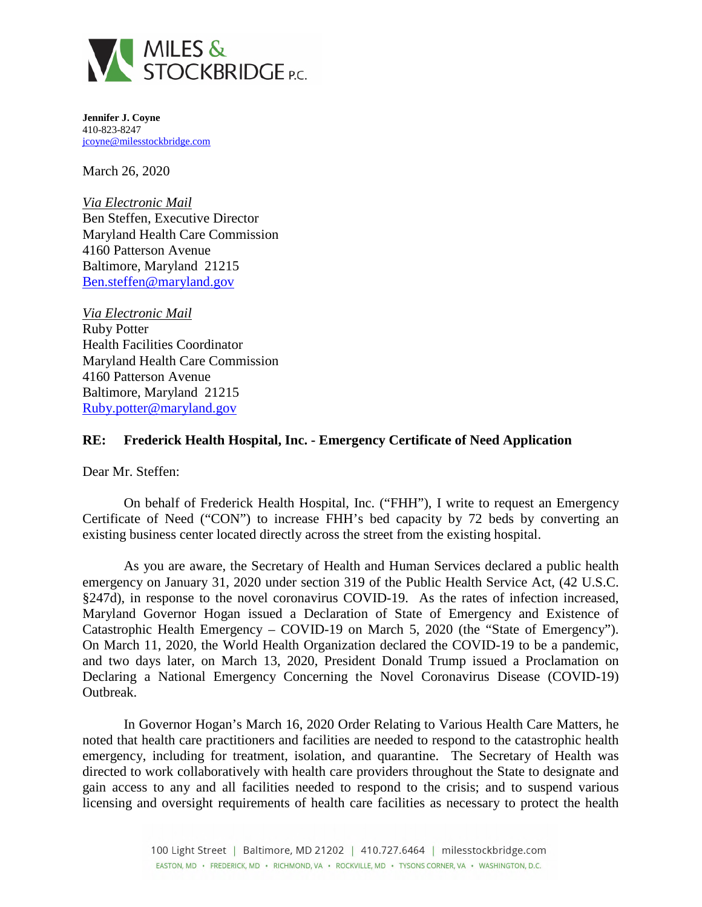

**Jennifer J. Coyne**  410-823-8247 [jcoyne@milesstockbridge.com](mailto:jcoyne@milesstockbridge.com)

March 26, 2020

*Via Electronic Mail*  Ben Steffen, Executive Director Maryland Health Care Commission 4160 Patterson Avenue Baltimore, Maryland 21215 [Ben.steffen@maryland.gov](mailto:Ben.steffen@maryland.gov)

*Via Electronic Mail*  Ruby Potter Health Facilities Coordinator Maryland Health Care Commission 4160 Patterson Avenue Baltimore, Maryland 21215 [Ruby.potter@maryland.gov](mailto:Ruby.potter@maryland.gov)

## **RE: Frederick Health Hospital, Inc. - Emergency Certificate of Need Application**

Dear Mr. Steffen:

On behalf of Frederick Health Hospital, Inc. ("FHH"), I write to request an Emergency Certificate of Need ("CON") to increase FHH's bed capacity by 72 beds by converting an existing business center located directly across the street from the existing hospital.

As you are aware, the Secretary of Health and Human Services declared a public health emergency on January 31, 2020 under section 319 of the Public Health Service Act, (42 U.S.C. §247d), in response to the novel coronavirus COVID-19. As the rates of infection increased, Maryland Governor Hogan issued a Declaration of State of Emergency and Existence of Catastrophic Health Emergency – COVID-19 on March 5, 2020 (the "State of Emergency"). On March 11, 2020, the World Health Organization declared the COVID-19 to be a pandemic, and two days later, on March 13, 2020, President Donald Trump issued a Proclamation on Declaring a National Emergency Concerning the Novel Coronavirus Disease (COVID-19) Outbreak.

In Governor Hogan's March 16, 2020 Order Relating to Various Health Care Matters, he noted that health care practitioners and facilities are needed to respond to the catastrophic health emergency, including for treatment, isolation, and quarantine. The Secretary of Health was directed to work collaboratively with health care providers throughout the State to designate and gain access to any and all facilities needed to respond to the crisis; and to suspend various licensing and oversight requirements of health care facilities as necessary to protect the health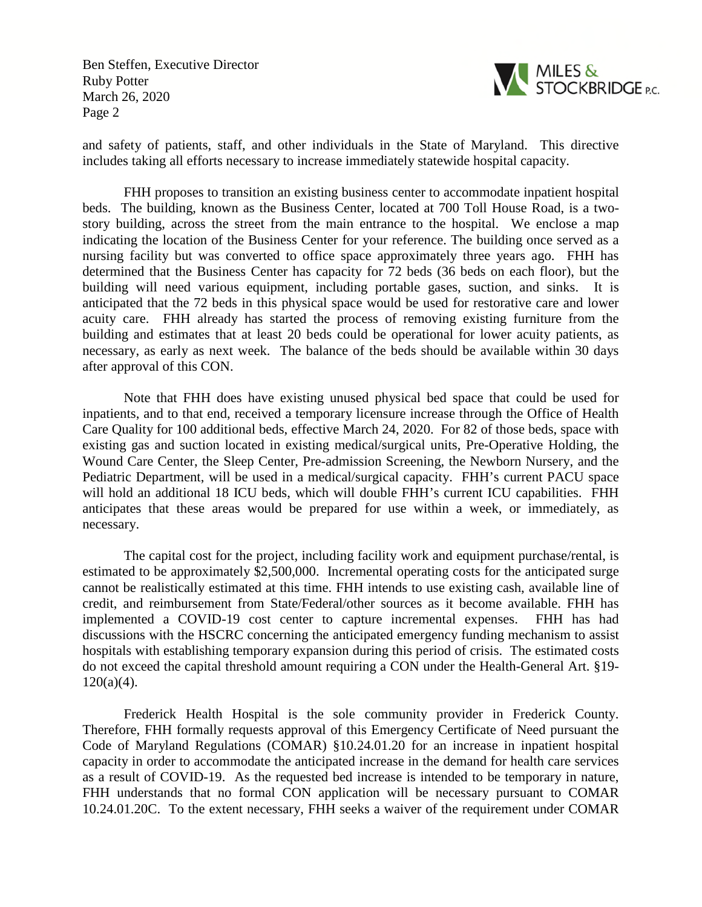Ben Steffen, Executive Director Ruby Potter March 26, 2020 Page 2



and safety of patients, staff, and other individuals in the State of Maryland. This directive includes taking all efforts necessary to increase immediately statewide hospital capacity.

FHH proposes to transition an existing business center to accommodate inpatient hospital beds. The building, known as the Business Center, located at 700 Toll House Road, is a twostory building, across the street from the main entrance to the hospital. We enclose a map indicating the location of the Business Center for your reference. The building once served as a nursing facility but was converted to office space approximately three years ago. FHH has determined that the Business Center has capacity for 72 beds (36 beds on each floor), but the building will need various equipment, including portable gases, suction, and sinks. It is anticipated that the 72 beds in this physical space would be used for restorative care and lower acuity care. FHH already has started the process of removing existing furniture from the building and estimates that at least 20 beds could be operational for lower acuity patients, as necessary, as early as next week. The balance of the beds should be available within 30 days after approval of this CON.

Note that FHH does have existing unused physical bed space that could be used for inpatients, and to that end, received a temporary licensure increase through the Office of Health Care Quality for 100 additional beds, effective March 24, 2020. For 82 of those beds, space with existing gas and suction located in existing medical/surgical units, Pre-Operative Holding, the Wound Care Center, the Sleep Center, Pre-admission Screening, the Newborn Nursery, and the Pediatric Department, will be used in a medical/surgical capacity. FHH's current PACU space will hold an additional 18 ICU beds, which will double FHH's current ICU capabilities. FHH anticipates that these areas would be prepared for use within a week, or immediately, as necessary.

The capital cost for the project, including facility work and equipment purchase/rental, is estimated to be approximately \$2,500,000. Incremental operating costs for the anticipated surge cannot be realistically estimated at this time. FHH intends to use existing cash, available line of credit, and reimbursement from State/Federal/other sources as it become available. FHH has implemented a COVID-19 cost center to capture incremental expenses. FHH has had discussions with the HSCRC concerning the anticipated emergency funding mechanism to assist hospitals with establishing temporary expansion during this period of crisis. The estimated costs do not exceed the capital threshold amount requiring a CON under the Health-General Art. §19-  $120(a)(4)$ .

Frederick Health Hospital is the sole community provider in Frederick County. Therefore, FHH formally requests approval of this Emergency Certificate of Need pursuant the Code of Maryland Regulations (COMAR) §10.24.01.20 for an increase in inpatient hospital capacity in order to accommodate the anticipated increase in the demand for health care services as a result of COVID-19. As the requested bed increase is intended to be temporary in nature, FHH understands that no formal CON application will be necessary pursuant to COMAR 10.24.01.20C. To the extent necessary, FHH seeks a waiver of the requirement under COMAR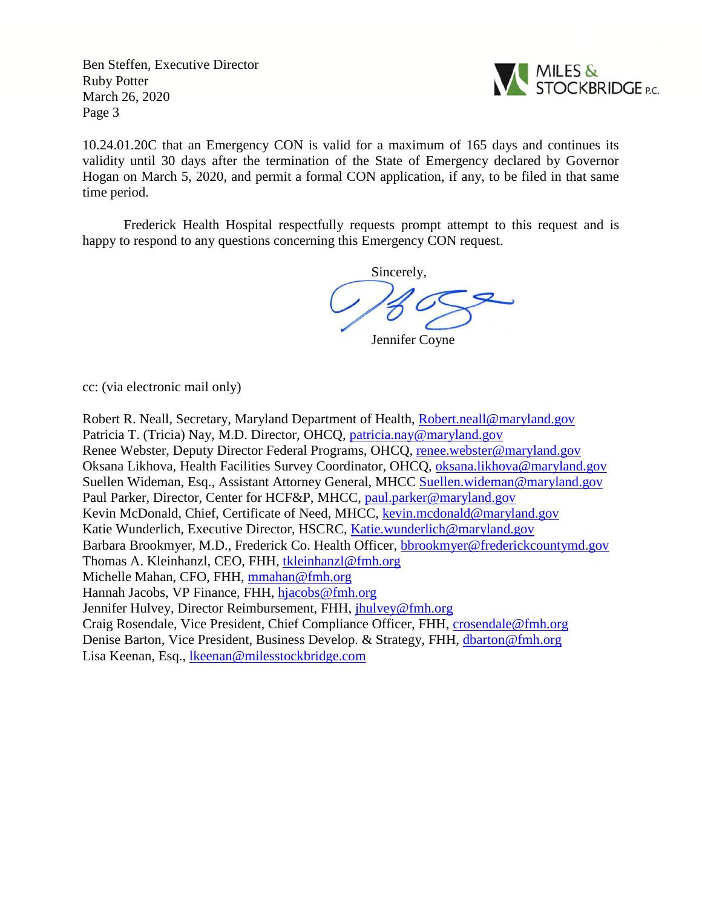Ben Steffen, Executive Director Ruby Potter March 26, 2020 Page 3



10.24.01.20C that an Emergency CON is valid for a maximum of 165 days and continues its validity until 30 days after the termination of the State of Emergency declared by Governor Hogan on March 5, 2020, and permit a formal CON application, if any, to be filed in that same time period.

Frederick Health Hospital respectfully requests prompt attempt to this request and is happy to respond to any questions concerning this Emergency CON request.

Sincerely,

Jennifer Coyne

cc: (via electronic mail only)

Robert R. Neall, Secretary, Maryland Department of Health, [Robert.neall@maryland.gov](mailto:Robert.neall@maryland.gov) Patricia T. (Tricia) Nay, M.D. Director, OHCQ, [patricia.nay@maryland.gov](mailto:patricia.nay@maryland.gov) Renee Webster, Deputy Director Federal Programs, OHCQ, [renee.webster@maryland.gov](mailto:renee.webster@maryland.gov) Oksana Likhova, Health Facilities Survey Coordinator, OHCQ, [oksana.likhova@maryland.gov](mailto:oksana.likhova@maryland.gov) Suellen Wideman, Esq., Assistant Attorney General, MHCC [Suellen.wideman@maryland.gov](mailto:Suellen.wideman@maryland.gov) Paul Parker, Director, Center for HCF&P, MHCC, [paul.parker@maryland.gov](mailto:paul.parker@maryland.gov) Kevin McDonald, Chief, Certificate of Need, MHCC, [kevin.mcdonald@maryland.gov](mailto:kevin.mcdonald@maryland.gov) Katie Wunderlich, Executive Director, HSCRC, [Katie.wunderlich@maryland.gov](mailto:Katie.wunderlich@maryland.gov) Barbara Brookmyer, M.D., Frederick Co. Health Officer, [bbrookmyer@frederickcountymd.gov](mailto:bbrookmyer@frederickcountymd.gov) Thomas A. Kleinhanzl, CEO, FHH, [tkleinhanzl@fmh.org](mailto:tkleinhanzl@fmh.org) Michelle Mahan, CFO, FHH, [mmahan@fmh.org](mailto:mmahan@fmh.org) Hannah Jacobs, VP Finance, FHH, [hjacobs@fmh.org](mailto:hjacobs@fmh.org) Jennifer Hulvey, Director Reimbursement, FHH, [jhulvey@fmh.org](mailto:jhulvey@fmh.org) Craig Rosendale, Vice President, Chief Compliance Officer, FHH, [crosendale@fmh.org](mailto:crosendale@fmh.org) Denise Barton, Vice President, Business Develop. & Strategy, FHH, [dbarton@fmh.org](mailto:dbarton@fmh.org) Lisa Keenan, Esq., [lkeenan@milesstockbridge.com](mailto:lkeenan@milesstockbridge.com)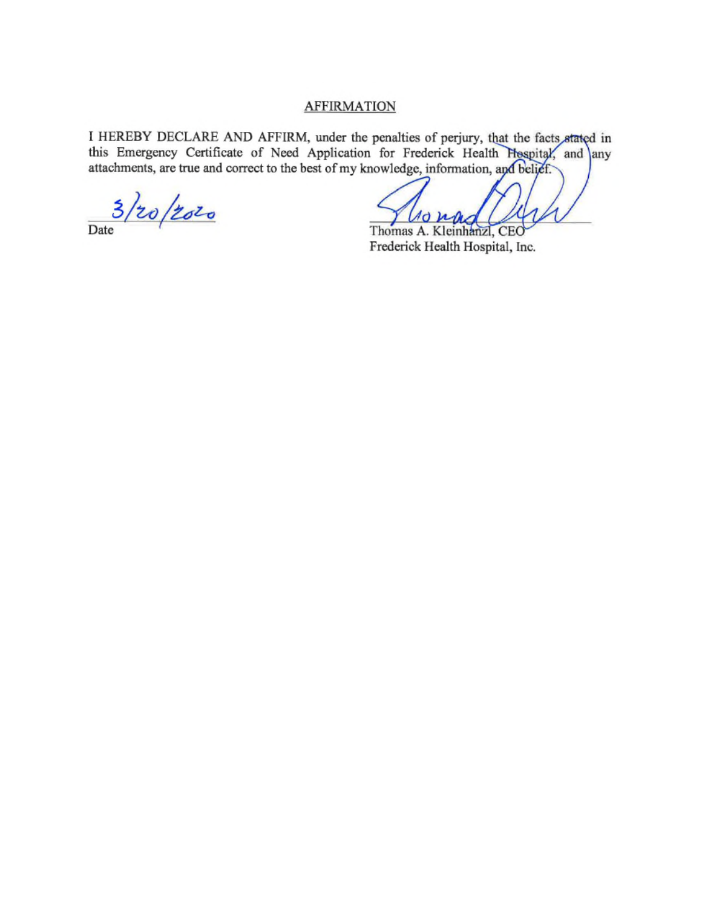## **AFFIRMATION**

I HEREBY DECLARE AND AFFIRM, under the penalties of perjury, that the facts stated in this Emergency Certificate of Need Application for Frederick Health Hospital, and any attachments, are true and correct to the best of my knowledge, information, and belief.

 $\frac{3}{200}/20$ 

 $\sqrt{d}$   $\mu$ Thomas A. Kleinhanzl, CEO

Frederick Health Hospital, Inc.